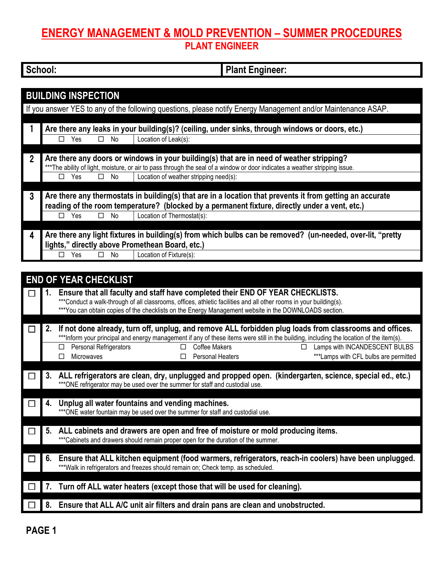## **ENERGY MANAGEMENT & MOLD PREVENTION – SUMMER PROCEDURES PLANT ENGINEER**

| School: | lant Engineer: |
|---------|----------------|

|                | <b>BUILDING INSPECTION</b>                      |                                                                                                                             |  |
|----------------|-------------------------------------------------|-----------------------------------------------------------------------------------------------------------------------------|--|
|                |                                                 | If you answer YES to any of the following questions, please notify Energy Management and/or Maintenance ASAP.               |  |
|                |                                                 |                                                                                                                             |  |
|                |                                                 | Are there any leaks in your building(s)? (ceiling, under sinks, through windows or doors, etc.)                             |  |
|                | No<br>Yes<br>П<br>$\mathsf{L}$                  | Location of Leak(s):                                                                                                        |  |
|                |                                                 |                                                                                                                             |  |
| $\overline{2}$ |                                                 | Are there any doors or windows in your building(s) that are in need of weather stripping?                                   |  |
|                |                                                 | ***The ability of light, moisture, or air to pass through the seal of a window or door indicates a weather stripping issue. |  |
|                | Yes<br>No<br>п<br>п                             | Location of weather stripping need(s):                                                                                      |  |
|                |                                                 |                                                                                                                             |  |
| 3              |                                                 | Are there any thermostats in building(s) that are in a location that prevents it from getting an accurate                   |  |
|                |                                                 | reading of the room temperature? (blocked by a permanent fixture, directly under a vent, etc.)                              |  |
|                | П<br>Yes<br>No<br>П                             | Location of Thermostat(s):                                                                                                  |  |
|                |                                                 |                                                                                                                             |  |
| 4              |                                                 | Are there any light fixtures in building(s) from which bulbs can be removed? (un-needed, over-lit, "pretty                  |  |
|                | lights," directly above Promethean Board, etc.) |                                                                                                                             |  |
|                | Yes<br>No                                       | Location of Fixture(s):                                                                                                     |  |
|                |                                                 |                                                                                                                             |  |

| <b>END OF YEAR CHECKLIST</b> |                                                                                                                                                                                                                                                                                                                                                                                                                     |  |  |  |
|------------------------------|---------------------------------------------------------------------------------------------------------------------------------------------------------------------------------------------------------------------------------------------------------------------------------------------------------------------------------------------------------------------------------------------------------------------|--|--|--|
|                              | Ensure that all faculty and staff have completed their END OF YEAR CHECKLISTS.<br>***Conduct a walk-through of all classrooms, offices, athletic facilities and all other rooms in your building(s).<br>***You can obtain copies of the checklists on the Energy Management website in the DOWNLOADS section.                                                                                                       |  |  |  |
|                              | If not done already, turn off, unplug, and remove ALL forbidden plug loads from classrooms and offices.<br>***Inform your principal and energy management if any of these items were still in the building, including the location of the item(s).<br>Personal Refrigerators<br>Coffee Makers<br>Lamps with INCANDESCENT BULBS<br>п<br>П<br>***Lamps with CFL bulbs are permitted<br>Personal Heaters<br>Microwaves |  |  |  |
|                              | ALL refrigerators are clean, dry, unplugged and propped open. (kindergarten, science, special ed., etc.)<br>*** ONE refrigerator may be used over the summer for staff and custodial use.                                                                                                                                                                                                                           |  |  |  |
|                              | Unplug all water fountains and vending machines.<br>*** ONE water fountain may be used over the summer for staff and custodial use.                                                                                                                                                                                                                                                                                 |  |  |  |
|                              | ALL cabinets and drawers are open and free of moisture or mold producing items.<br>*** Cabinets and drawers should remain proper open for the duration of the summer.                                                                                                                                                                                                                                               |  |  |  |
|                              | Ensure that ALL kitchen equipment (food warmers, refrigerators, reach-in coolers) have been unplugged.<br>***Walk in refrigerators and freezes should remain on; Check temp. as scheduled.                                                                                                                                                                                                                          |  |  |  |
|                              | Turn off ALL water heaters (except those that will be used for cleaning).                                                                                                                                                                                                                                                                                                                                           |  |  |  |
|                              | Ensure that ALL A/C unit air filters and drain pans are clean and unobstructed.                                                                                                                                                                                                                                                                                                                                     |  |  |  |